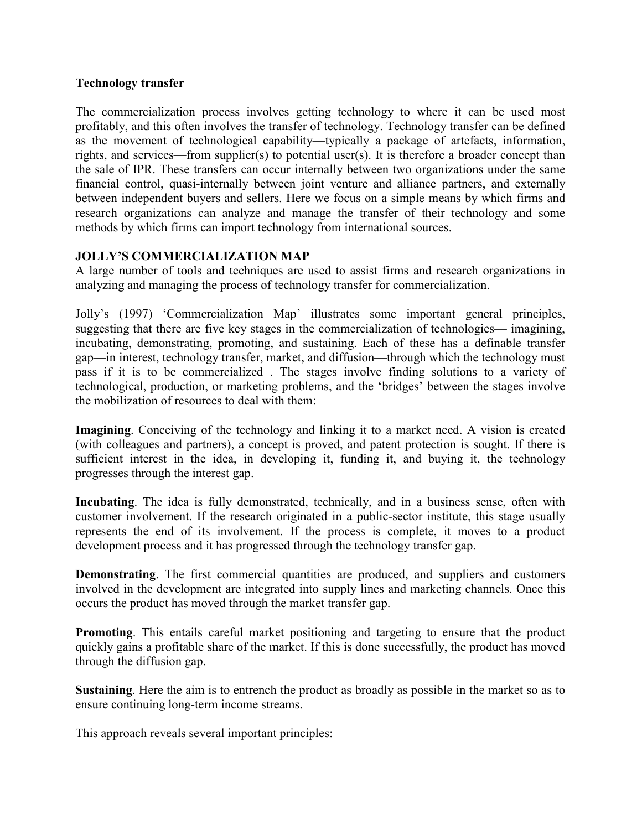### **Technology transfer**

The commercialization process involves getting technology to where it can be used most profitably, and this often involves the transfer of technology. Technology transfer can be defined as the movement of technological capability—typically a package of artefacts, information, rights, and services—from supplier(s) to potential user(s). It is therefore a broader concept than the sale of IPR. These transfers can occur internally between two organizations under the same financial control, quasi-internally between joint venture and alliance partners, and externally between independent buyers and sellers. Here we focus on a simple means by which firms and research organizations can analyze and manage the transfer of their technology and some methods by which firms can import technology from international sources.

# **JOLLY'S COMMERCIALIZATION MAP**

A large number of tools and techniques are used to assist firms and research organizations in analyzing and managing the process of technology transfer for commercialization.

Jolly's (1997) 'Commercialization Map' illustrates some important general principles, suggesting that there are five key stages in the commercialization of technologies— imagining, incubating, demonstrating, promoting, and sustaining. Each of these has a definable transfer gap—in interest, technology transfer, market, and diffusion—through which the technology must pass if it is to be commercialized . The stages involve finding solutions to a variety of technological, production, or marketing problems, and the 'bridges' between the stages involve the mobilization of resources to deal with them:

**Imagining**. Conceiving of the technology and linking it to a market need. A vision is created (with colleagues and partners), a concept is proved, and patent protection is sought. If there is sufficient interest in the idea, in developing it, funding it, and buying it, the technology progresses through the interest gap.

**Incubating**. The idea is fully demonstrated, technically, and in a business sense, often with customer involvement. If the research originated in a public-sector institute, this stage usually represents the end of its involvement. If the process is complete, it moves to a product development process and it has progressed through the technology transfer gap.

**Demonstrating**. The first commercial quantities are produced, and suppliers and customers involved in the development are integrated into supply lines and marketing channels. Once this occurs the product has moved through the market transfer gap.

**Promoting**. This entails careful market positioning and targeting to ensure that the product quickly gains a profitable share of the market. If this is done successfully, the product has moved through the diffusion gap.

**Sustaining**. Here the aim is to entrench the product as broadly as possible in the market so as to ensure continuing long-term income streams.

This approach reveals several important principles: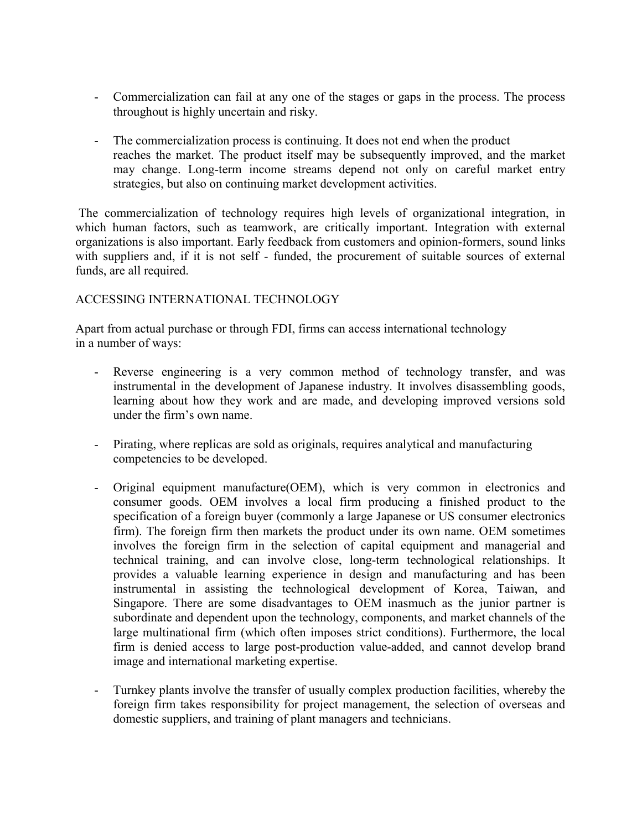- Commercialization can fail at any one of the stages or gaps in the process. The process throughout is highly uncertain and risky.
- The commercialization process is continuing. It does not end when the product reaches the market. The product itself may be subsequently improved, and the market may change. Long-term income streams depend not only on careful market entry strategies, but also on continuing market development activities.

The commercialization of technology requires high levels of organizational integration, in which human factors, such as teamwork, are critically important. Integration with external organizations is also important. Early feedback from customers and opinion-formers, sound links with suppliers and, if it is not self - funded, the procurement of suitable sources of external funds, are all required.

## ACCESSING INTERNATIONAL TECHNOLOGY

Apart from actual purchase or through FDI, firms can access international technology in a number of ways:

- Reverse engineering is a very common method of technology transfer, and was instrumental in the development of Japanese industry. It involves disassembling goods, learning about how they work and are made, and developing improved versions sold under the firm's own name.
- Pirating, where replicas are sold as originals, requires analytical and manufacturing competencies to be developed.
- Original equipment manufacture(OEM), which is very common in electronics and consumer goods. OEM involves a local firm producing a finished product to the specification of a foreign buyer (commonly a large Japanese or US consumer electronics firm). The foreign firm then markets the product under its own name. OEM sometimes involves the foreign firm in the selection of capital equipment and managerial and technical training, and can involve close, long-term technological relationships. It provides a valuable learning experience in design and manufacturing and has been instrumental in assisting the technological development of Korea, Taiwan, and Singapore. There are some disadvantages to OEM inasmuch as the junior partner is subordinate and dependent upon the technology, components, and market channels of the large multinational firm (which often imposes strict conditions). Furthermore, the local firm is denied access to large post-production value-added, and cannot develop brand image and international marketing expertise.
- Turnkey plants involve the transfer of usually complex production facilities, whereby the foreign firm takes responsibility for project management, the selection of overseas and domestic suppliers, and training of plant managers and technicians.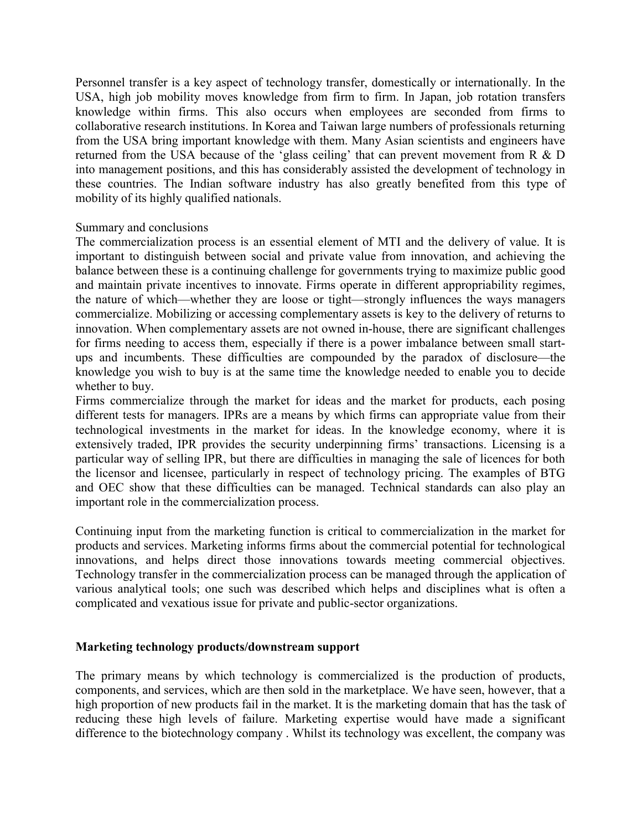Personnel transfer is a key aspect of technology transfer, domestically or internationally. In the USA, high job mobility moves knowledge from firm to firm. In Japan, job rotation transfers knowledge within firms. This also occurs when employees are seconded from firms to collaborative research institutions. In Korea and Taiwan large numbers of professionals returning from the USA bring important knowledge with them. Many Asian scientists and engineers have returned from the USA because of the 'glass ceiling' that can prevent movement from R & D into management positions, and this has considerably assisted the development of technology in these countries. The Indian software industry has also greatly benefited from this type of mobility of its highly qualified nationals.

### Summary and conclusions

The commercialization process is an essential element of MTI and the delivery of value. It is important to distinguish between social and private value from innovation, and achieving the balance between these is a continuing challenge for governments trying to maximize public good and maintain private incentives to innovate. Firms operate in different appropriability regimes, the nature of which—whether they are loose or tight—strongly influences the ways managers commercialize. Mobilizing or accessing complementary assets is key to the delivery of returns to innovation. When complementary assets are not owned in-house, there are significant challenges for firms needing to access them, especially if there is a power imbalance between small startups and incumbents. These difficulties are compounded by the paradox of disclosure—the knowledge you wish to buy is at the same time the knowledge needed to enable you to decide whether to buy.

Firms commercialize through the market for ideas and the market for products, each posing different tests for managers. IPRs are a means by which firms can appropriate value from their technological investments in the market for ideas. In the knowledge economy, where it is extensively traded, IPR provides the security underpinning firms' transactions. Licensing is a particular way of selling IPR, but there are difficulties in managing the sale of licences for both the licensor and licensee, particularly in respect of technology pricing. The examples of BTG and OEC show that these difficulties can be managed. Technical standards can also play an important role in the commercialization process.

Continuing input from the marketing function is critical to commercialization in the market for products and services. Marketing informs firms about the commercial potential for technological innovations, and helps direct those innovations towards meeting commercial objectives. Technology transfer in the commercialization process can be managed through the application of various analytical tools; one such was described which helps and disciplines what is often a complicated and vexatious issue for private and public-sector organizations.

### **Marketing technology products/downstream support**

The primary means by which technology is commercialized is the production of products, components, and services, which are then sold in the marketplace. We have seen, however, that a high proportion of new products fail in the market. It is the marketing domain that has the task of reducing these high levels of failure. Marketing expertise would have made a significant difference to the biotechnology company . Whilst its technology was excellent, the company was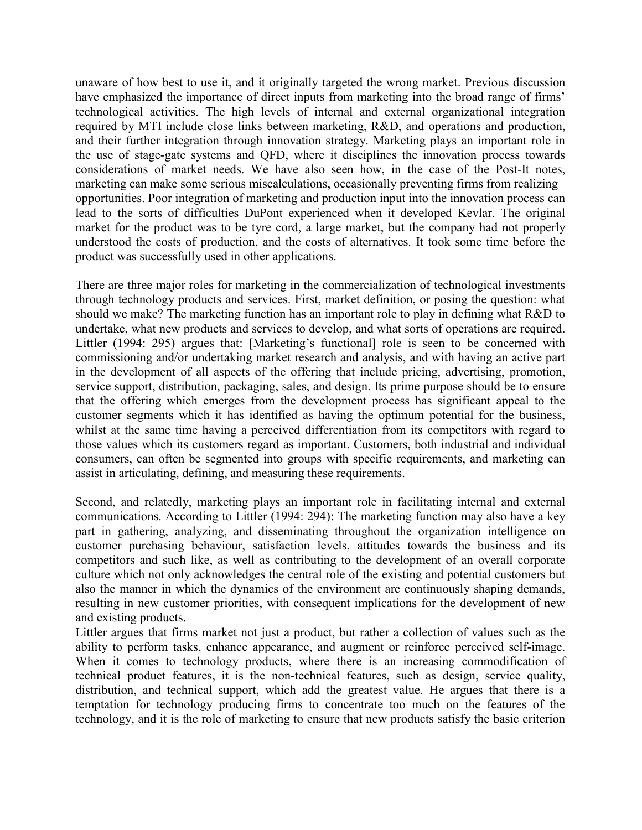unaware of how best to use it, and it originally targeted the wrong market. Previous discussion have emphasized the importance of direct inputs from marketing into the broad range of firms' technological activities. The high levels of internal and external organizational integration required by MTI include close links between marketing, R&D, and operations and production, and their further integration through innovation strategy. Marketing plays an important role in the use of stage-gate systems and QFD, where it disciplines the innovation process towards considerations of market needs. We have also seen how, in the case of the Post-It notes, marketing can make some serious miscalculations, occasionally preventing firms from realizing opportunities. Poor integration of marketing and production input into the innovation process can lead to the sorts of difficulties DuPont experienced when it developed Kevlar. The original market for the product was to be tyre cord, a large market, but the company had not properly understood the costs of production, and the costs of alternatives. It took some time before the product was successfully used in other applications.

There are three major roles for marketing in the commercialization of technological investments through technology products and services. First, market definition, or posing the question: what should we make? The marketing function has an important role to play in defining what R&D to undertake, what new products and services to develop, and what sorts of operations are required. Littler (1994: 295) argues that: [Marketing's functional] role is seen to be concerned with commissioning and/or undertaking market research and analysis, and with having an active part in the development of all aspects of the offering that include pricing, advertising, promotion, service support, distribution, packaging, sales, and design. Its prime purpose should be to ensure that the offering which emerges from the development process has significant appeal to the customer segments which it has identified as having the optimum potential for the business, whilst at the same time having a perceived differentiation from its competitors with regard to those values which its customers regard as important. Customers, both industrial and individual consumers, can often be segmented into groups with specific requirements, and marketing can assist in articulating, defining, and measuring these requirements.

Second, and relatedly, marketing plays an important role in facilitating internal and external communications. According to Littler (1994: 294): The marketing function may also have a key part in gathering, analyzing, and disseminating throughout the organization intelligence on customer purchasing behaviour, satisfaction levels, attitudes towards the business and its competitors and such like, as well as contributing to the development of an overall corporate culture which not only acknowledges the central role of the existing and potential customers but also the manner in which the dynamics of the environment are continuously shaping demands, resulting in new customer priorities, with consequent implications for the development of new and existing products.

Littler argues that firms market not just a product, but rather a collection of values such as the ability to perform tasks, enhance appearance, and augment or reinforce perceived self-image. When it comes to technology products, where there is an increasing commodification of technical product features, it is the non-technical features, such as design, service quality, distribution, and technical support, which add the greatest value. He argues that there is a temptation for technology producing firms to concentrate too much on the features of the technology, and it is the role of marketing to ensure that new products satisfy the basic criterion